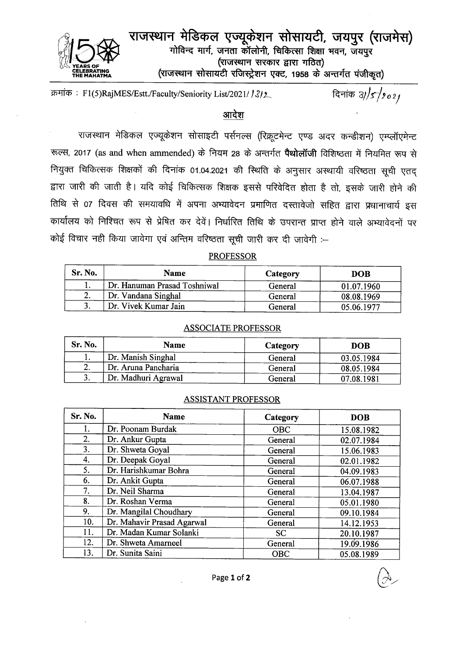

राजस्थान मेडिकल एज्यूकेशन सोसायटी, जयपुर (राजमेस) गोविन्द मार्ग, जनता कॉलोनी, चिकित्सा शिक्षा भवन, जयपुर (राजस्थान सरकार द्वारा गठित) (राजस्थान सोसायटी रजिस्ट्रेशन एक्ट, 1958 के अन्तर्गत पंजीकृत)

दिनांक  $3/5/902/$ क्रमांक: F1(5)RajMES/Estt./Faculty/Seniority List/2021/13/2

# आदेश

राजस्थान मेडिकल एज्यूकेशन सोसाइटी पर्सनल्स (रिक्रूटमेन्ट एण्ड अदर कन्डीशन) एम्प्लॉएमेन्ट रूल्स, 2017 (as and when ammended) के नियम 28 के अन्तर्गत पैथोलॉजी विशिष्ठता में नियमित रूप से नियुक्त चिकित्सक शिक्षकों की दिनांक 01.04.2021 की स्थिति के अनुसार अस्थायी वरिष्ठता सूची एतद द्वारा जारी की जाती है। यदि कोई चिकित्सक शिक्षक इससे परिवेदित होता है तो, इसके जारी होने की तिथि से 07 दिवस की समयावधि में अपना अभ्यावेदन प्रमाणित दस्तावेजो सहित द्वारा प्रधानाचार्य इस कार्यालय को निश्चित रूप से प्रेषित कर देवें। निर्धारित तिथि के उपरान्त प्राप्त होने वाले अभ्यावेदनों पर कोई विचार नहीं किया जावेगा एवं अन्तिम वरिष्ठता सूची जारी कर दी जावेगी :-

## **PROFESSOR**

| Sr. No. | <b>Name</b>                  | Category | <b>DOB</b> |
|---------|------------------------------|----------|------------|
|         | Dr. Hanuman Prasad Toshniwal | General  | 01.07.1960 |
| . ـ     | Dr. Vandana Singhal          | General  | 08.08.1969 |
|         | Dr. Vivek Kumar Jain         | General  | 05.06.1977 |

#### **ASSOCIATE PROFESSOR**

| Sr. No. | <b>Name</b>         | Category | <b>DOB</b> |
|---------|---------------------|----------|------------|
|         | Dr. Manish Singhal  | General  | 03.05.1984 |
|         | Dr. Aruna Pancharia | General  | 08.05.1984 |
|         | Dr. Madhuri Agrawal | General  | 07.08.1981 |

### **ASSISTANT PROFESSOR**

| Sr. No. | <b>Name</b>                | Category   | <b>DOB</b> |
|---------|----------------------------|------------|------------|
| 1.      | Dr. Poonam Burdak          | OBC        | 15.08.1982 |
| 2.      | Dr. Ankur Gupta            | General    | 02.07.1984 |
| 3.      | Dr. Shweta Goyal           | General    | 15.06.1983 |
| 4.      | Dr. Deepak Goyal           | General    | 02.01.1982 |
| 5.      | Dr. Harishkumar Bohra      | General    | 04.09.1983 |
| 6.      | Dr. Ankit Gupta            | General    | 06.07.1988 |
| 7.      | Dr. Neil Sharma            | General    | 13.04.1987 |
| 8.      | Dr. Roshan Verma           | General    | 05.01.1980 |
| 9.      | Dr. Mangilal Choudhary     | General    | 09.10.1984 |
| 10.     | Dr. Mahavir Prasad Agarwal | General    | 14.12.1953 |
| 11.     | Dr. Madan Kumar Solanki    | <b>SC</b>  | 20.10.1987 |
| 12.     | Dr. Shweta Amarneel        | General    | 19.09.1986 |
| 13.     | Dr. Sunita Saini           | <b>OBC</b> | 05.08.1989 |